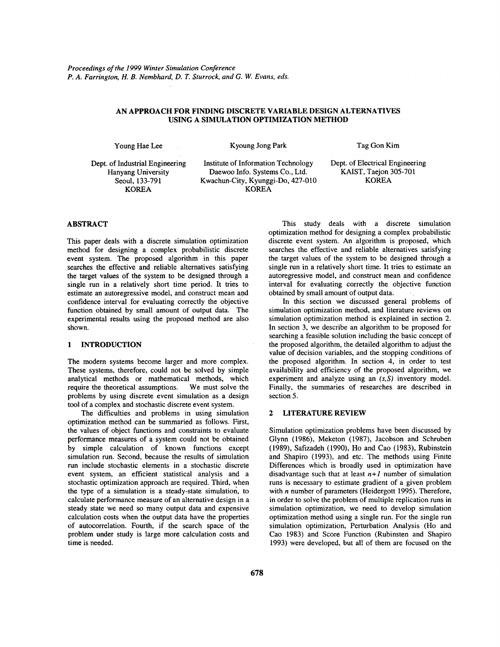# **AN APPROACH FOR FINDING DISCRETE VARIABLE DESIGN ALTERNATIVES USING A SIMULATION OPTIMIZATION METHOD**

Young Hae Lee Kyoung Jong Park Tag Gon Kim

KOREA KOREA

Dept. of Industrial Engineering Institute of Information Technology Dept. of Electrical Engineering<br>Hanyang University Daewoo Info. Systems Co., Ltd. KAIST, Taejon 305-701 Hanyang University Daewoo Info. Systems Co., Ltd. KAIST, Taejon 3<br>Seoul. 133-791 Kwachun-City, Kyunggi-Do. 427-010 KOREA Seoul, 133-791 Kwachun-City, Kyunggi-Do, 427-010<br>KOREA KOREA

# **ABSTRACT**

This paper deals with a discrete simulation optimization method for designing a complex probabilistic discrete event system. The proposed algorithm in this paper searches the effective and reliable alternatives satisfying the target values of the system to be designed through a single run in a relatively short time period. It tries to estimate an autoregressive model, and construct mean and confidence interval for evaluating correctly the objective function obtained by small amount of output data. The experimental results using the proposed method are also shown.

#### **1 INTRODUCTION**

The modem systems become larger and more complex. These systems, therefore, could not be solved by simple analytical methods or mathematical methods, which require the theoretical assumptions. We must solve the problems by using discrete event simulation as a design tool of a complex and stochastic discrete event system.

The difficulties and problems in using simulation optimization method can be summaried as follows. First, the values of object functions and constraints to evaluate performance measures of a system could not be obtained by simple calculation of known functions except simulation run. Second, because the results of simulation run include stochastic elements in a stochastic discrete event system, an efficient statistical analysis and a stochastic optimization approach are required. Third, when the type of a simulation is a steady-state simulation, to calculate performance measure of an alternative design in a steady state we need so many output data and expensive calculation costs when the output data have the properties of autocorrelation. Fourth, if the search space of the problem under study is large more calculation costs and time is needed.

This study deals with a discrete simulation optimization method for designing a complex probabilistic discrete event system. An algorithm is proposed, which searches the effective and reliable alternatives satisfying the target values of the system to be designed through a single run in a relatively short time. It tries to estimate an autoregressive model, and construct mean and confidence interval for evaluating correctly the objective function obtained by small amount of output data.

In this section we discussed general problems of simulation optimization method, and literature reviews on simulation optimization method is explained in section 2. In section 3, we describe an algorithm to be proposed for searching a feasible solution including the basic concept of the proposed algorithm, the detailed algorithm to adjust the value of decision variables, and the stopping conditions **of**  the proposed algorithm. In section **4,** in order to test availability and efficiency of the proposed algorithm, we experiment and analyze using an  $(s, S)$  inventory model. Finally, the summaries of researches are described in section *5.* 

# **2 LITERATURE REVIEW**

Simulation optimization problems have been discussed by Glynn (1986), Meketon (1987), Jacobson and Schruben (1989), Safizadeh (1990), Ho and Cao (1983), Rubinstein and Shapiro (1993), and etc. The methods using Finite Differences which is broadly used in optimization have disadvantage such that at least *n+l* number of simulation runs is necessary to estimate gradient of a given problem with *n* number of parameters (Heidergott 1995). Therefore, in order to solve the problem of multiple replication runs in simulation optimization, we need to develop simulation optimization method using a single run. For the single run simulation optimization, Perturbation Analysis (Ho and Cao 1983) and Score Function (Rubinsten and Shapiro 1993) were developed, but al! of them are focused on the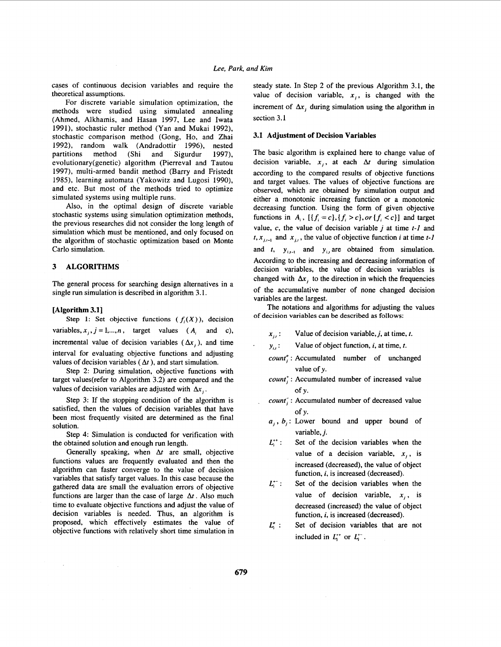cases of continuous decision variables and require the theoretical assumptions.

For discrete variable simulation optimization, the methods were studied using simulated annealing (Ahmed, Alkhamis, and Hasan 1997, Lee and Iwata 1991), stochastic ruler method (Yan and Mukai 1992), stochastic comparison method (Gong, Ho, and Zhai 1992), random walk (Andradottir 1996), nested partitions method (Shi and Sigurdur 1997), evolutionary(genetic) algorithm (Pierreval and Tautou 1997), multi-armed bandit method (Barry and Fristedt 1985), learning automata (Yakowitz and Lugosi 1990), and etc. But most of the methods tried to optimize simulated systems using multiple runs.

Also, in the optimal design of discrete variable stochastic systems using simulation optimization methods, the previous researches did not consider the long length of simulation which must be mentioned, and only focused on the algorithm of stochastic optimization based on Monte Carlo simulation.

## **3 ALGORITHMS**

The general process for searching design alternatives in a single run simulation is described in algorithm 3.1.

#### **[Algorithm 3.11**

Step 1: Set objective functions  $(f_i(X))$ , decision variables,  $x_i$ ,  $j = 1, ..., n$ , target values ( $A_i$  and c), incremental value of decision variables  $(\Delta x_i)$ , and time interval for evaluating objective functions and adjusting values of decision variables ( $\Delta t$ ), and start simulation.

Step 2: During simulation, objective functions with target values(refer to Algorithm 3.2) are compared and the values of decision variables are adjusted with  $\Delta x_i$ .

Step 3: If the stopping condition of the algorithm is satisfied, then the values of decision variables that have been most frequently visited are determined as the final solution.

Step **4:** Simulation is conducted for verification with the obtained solution and enough run length.

Generally speaking, when  $\Delta t$  are small, objective functions values are frequently evaluated and then the algorithm can faster converge to the value of decision variables that satisfy target values. In this case because the gathered data are small the evaluation errors of objective functions are larger than the case of large  $\Delta t$ . Also much time to evaluate objective functions and adjust the value of decision variables is needed. Thus, an algorithm is proposed, which effectively estimates the value of objective functions with relatively short time simulation in

steady state. **In** Step 2 of the previous Algorithm 3.1, the value of decision variable,  $x_i$ , is changed with the increment of  $\Delta x_i$ , during simulation using the algorithm in section 3. I

## **3.1 Adjustment of Decision Variables**

The basic algorithm is explained here to change value of decision variable,  $x_i$ , at each  $\Delta t$  during simulation according to the compared results of objective functions and target values. The values of objective functions are observed, which are obtained by simulation output and either a monotonic increasing function or a monotonic decreasing function. Using the form of given objective functions in  $A_i$ ,  $[\{f_i = c\}, \{f_i > c\}, or \{f_i < c\}]$  and target value, *c,* the value of decision variable j at time *t-I* and  $t, x_{j,i-1}$  and  $x_{j,i}$ , the value of objective function *i* at time *t*-1 and  $t$ ,  $y_{i,j-1}$  and  $y_{i,j}$  are obtained from simulation. According to the increasing and decreasing information of decision variables, the value of decision variables is changed with  $\Delta x$ , to the direction in which the frequencies of the accumulative number of none changed decision variables are the largest.

The notations and algorithms for adjusting the values of decision variables can be described as follows:

- *x,,* : Value of decision variable,j, at time, *t.*
- . *y,,,* : Value of object function, *i,* at time, *t.*
- *count;* : Accumulated number of unchanged value of y.
- *count*; Accumulated number of increased value of y.
- *count;* : Accumulated number of decreased value of y.
- *a,,* b,: Lower bound and upper bound of variable, *j.*
- *L;+* : Set of the decision variables when the value of a decision variable, *x,,* is increased (decreased), the value of object function, *i*, is increased (decreased).
- *L;-* : Set of the decision variables when the value of decision variable,  $x_i$ , is decreased (increased) the value of object function, *i*, is increased (decreased).
- $L^{\circ}$ : Set of decision variables that are not included in  $L_i^{**}$  or  $L_i^{**}$ .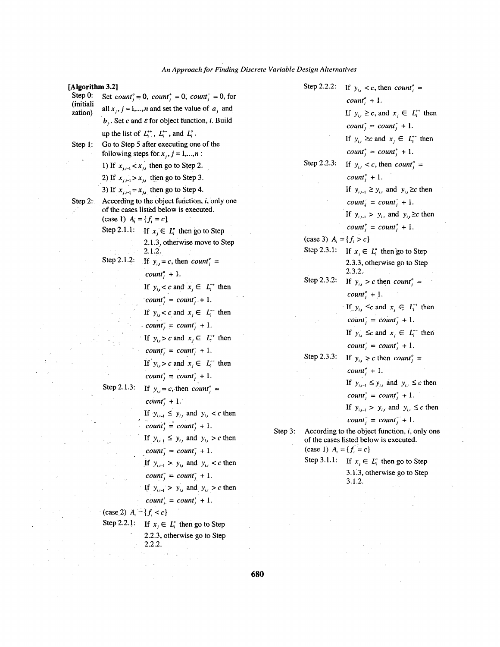$\mathcal{L}^{\pm}$ 

 $\hat{\boldsymbol{\beta}}$ 

 $\frac{1}{2} \frac{1}{2} \frac{1}{2} \frac{1}{2} \frac{1}{2} \frac{1}{2}$ 

 $\sim$ 

 $\bar{\gamma}$ 

| Step 0:              | Set count <sup><math>\sigma</math></sup> = 0, count <sub>i</sub> = 0, count <sub>i</sub> = 0, for |     |         |                              | Step 2.2.2: If $y_{i,j} < c$ , then count' =          |
|----------------------|---------------------------------------------------------------------------------------------------|-----|---------|------------------------------|-------------------------------------------------------|
|                      |                                                                                                   |     |         |                              | $count_i^o + 1$ .                                     |
| (initiali<br>zation) | all $x_i$ , $j = 1,,n$ and set the value of $a_i$ and                                             |     |         |                              |                                                       |
|                      | $b_i$ . Set c and $\varepsilon$ for object function, i. Build                                     |     |         |                              | If $y_{i,j} \geq c$ , and $x_j \in L_i^+$ then        |
|                      | up the list of $L_i^{\dagger}$ , $L_i^{\dagger}$ , and $L_i^{\circ}$ .                            |     |         |                              | $count_i = count_i + 1.$                              |
| Step 1:              | Go to Step 5 after executing one of the                                                           |     |         |                              | If $y_{i,j} \geq c$ and $x_j \in L_i^+$ then          |
|                      | following steps for $x_j$ , $j = 1,,n$ :                                                          |     |         |                              | $count_i^* = count_i^* + 1.$                          |
|                      | 1) If $x_{i,j} < x_{i,j}$ then go to Step 2.                                                      |     |         | Step 2.2.3:                  | If $y_{i,j} < c$ , then count <sup>o</sup> =          |
|                      | 2) If $x_{i+1} > x_{i}$ , then go to Step 3.                                                      |     |         |                              | $count_i^o + 1$ .                                     |
|                      | 3) If $x_{i,j} = x_{i,j}$ then go to Step 4.                                                      |     |         |                              | If $y_{i,j} \geq y_{i,j}$ and $y_{i,j} \geq c$ then   |
| Step $2$ :           | According to the object function, $i$ , only one                                                  |     |         |                              | $count_i = count_i + 1.$                              |
|                      | of the cases listed below is executed.<br>(case 1) $A_i = \{f_i = c\}$                            |     |         |                              | If $y_{i,j-1} > y_{i,j}$ and $y_{i,j} \ge c$ then     |
|                      | Step 2.1.1: If $x_i \in L^e$ then go to Step                                                      |     |         |                              | $count_i^* = count_i^* + 1.$                          |
|                      | 2.1.3, otherwise move to Step                                                                     |     |         | (case 3) $A_i = \{f_i > c\}$ |                                                       |
|                      | 2.1.2.                                                                                            |     |         |                              | Step 2.3.1: If $x_i \in L_i^e$ then go to Step        |
|                      | Step 2.1.2: If $y_{i,j} = c$ , then count <sup>o</sup> =                                          |     |         |                              | 2.3.3, otherwise go to Step                           |
|                      | $count_i^o + 1$ .                                                                                 |     |         |                              | 2.3.2.                                                |
|                      | If $y_i < c$ and $x_i \in L^+$ then                                                               |     |         | Step 2.3.2:                  | If $y_{i,j} > c$ then count <sup>o</sup> =            |
|                      | $count_i^* = count_i^* + 1.$                                                                      |     |         |                              | $count_i^o + 1$ .                                     |
|                      | If $y_{i,j} < c$ and $x_j \in L_i^+$ then                                                         |     |         |                              | If $y_{i,j} \leq c$ and $x_j \in L_i^+$ then          |
|                      | $\text{count}_i = \text{count}_i + 1.$                                                            |     |         |                              | $count_i = count_i + 1$ .                             |
|                      |                                                                                                   |     |         |                              | If $y_{i,j} \leq c$ and $x_j \in L_i^+$ then          |
|                      | If $y_{i,j} > c$ and $x_j \in L_i^+$ then                                                         |     |         |                              | $count_i^* = count_i^* + 1.$                          |
|                      | $count_i^- = count_i^- + 1.$                                                                      |     |         | Step 2.3.3:                  | If $y_{i,j} > c$ then count <sup>o</sup> =            |
|                      | If $y_{i,j} > c$ and $x_j \in L_i^+$ then                                                         |     |         |                              | $count_i^o + 1.$                                      |
|                      | $count_i^+ = count_i^+ + 1.$                                                                      |     |         |                              | If $y_{i,j+1} \leq y_{i,j}$ and $y_{i,j} \leq c$ then |
|                      | Step 2.1.3: If $y_{i,j} = c$ , then count' =                                                      |     |         |                              | $count_i^* = count_i^* + 1.$                          |
|                      | $count_i^o + 1$ .                                                                                 |     |         |                              | If $y_{i,j-1} > y_{i,j}$ and $y_{i,j} \leq c$ then    |
|                      | If $y_{i,j-1} \leq y_{i,j}$ and $y_{i,j} < c$ then                                                |     |         |                              | $count_i = count_i + 1.$                              |
|                      | $count_i^* = count_i^* + 1.$                                                                      |     | Step 3: |                              | According to the object function, $i$ , only one      |
|                      | If $y_{i+1} \leq y_i$ and $y_i > c$ then                                                          |     |         |                              | of the cases listed below is executed.                |
|                      | $count_j = count_j + 1.$                                                                          |     |         | (case 1) $A_i = \{f_i = c\}$ |                                                       |
|                      | If $y_{i,j-1} > y_{i,j}$ and $y_{i,j} < c$ then                                                   |     |         | Step 3.1.1:                  | If $x_i \in L_i^{\circ}$ then go to Step              |
|                      | $count_i = count_i + 1.$                                                                          |     |         |                              | 3.1.3, otherwise go to Step                           |
|                      | If $y_{i,j-1} > y_{i,j}$ and $y_{i,j} > c$ then                                                   |     |         |                              | 3.1.2.                                                |
|                      | $count_i^* = count_i^* + 1.$                                                                      |     |         |                              |                                                       |
|                      | (case 2) $A_i = \{f_i < c\}$                                                                      |     |         |                              |                                                       |
|                      | Step 2.2.1:<br>If $x_i \in L^e$ then go to Step                                                   |     |         |                              |                                                       |
|                      | 2.2.3, otherwise go to Step                                                                       |     |         |                              |                                                       |
|                      | 2.2.2.                                                                                            |     |         |                              |                                                       |
|                      |                                                                                                   |     |         |                              |                                                       |
|                      |                                                                                                   | 680 |         |                              |                                                       |

 $\bar{\bar{z}}$  $\bar{\mathbf{z}}$ 

 $\ddot{\phantom{a}}$ 

 $\sim 10$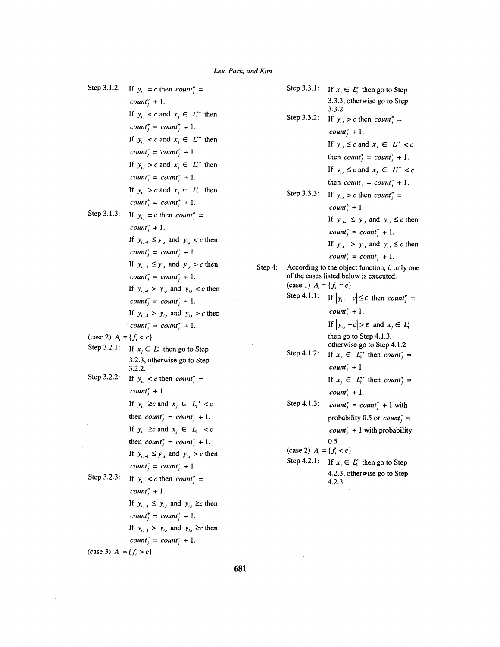*Lee, Park, and Kim* 

 $\label{eq:2} \frac{1}{\sqrt{2}}\sum_{i=1}^n\frac{1}{\sqrt{2}}\sum_{i=1}^n\frac{1}{\sqrt{2}}\sum_{i=1}^n\frac{1}{\sqrt{2}}\sum_{i=1}^n\frac{1}{\sqrt{2}}\sum_{i=1}^n\frac{1}{\sqrt{2}}\sum_{i=1}^n\frac{1}{\sqrt{2}}\sum_{i=1}^n\frac{1}{\sqrt{2}}\sum_{i=1}^n\frac{1}{\sqrt{2}}\sum_{i=1}^n\frac{1}{\sqrt{2}}\sum_{i=1}^n\frac{1}{\sqrt{2}}\sum_{i=1}^n\frac{1$ 

 $\frac{1}{2} \frac{1}{2} \frac{1}{2}$ 

|                              | Step 3.1.2: If $y_{i,t} = c$ then $count_j^o =$       |         | Step 3.3.1:                  | If $x_i \in L_i^o$ then go to Step                                                                    |
|------------------------------|-------------------------------------------------------|---------|------------------------------|-------------------------------------------------------------------------------------------------------|
|                              | $count_i^o + 1$ .                                     |         |                              | 3.3.3, otherwise go to Step<br>3.3.2                                                                  |
|                              | If $y_{i,j} < c$ and $x_i \in L_i^{+*}$ then          |         | Step 3.3.2:                  | If $y_{i} > c$ then count <sup>o</sup> =                                                              |
|                              | $count_i^+ = count_i^+ + 1.$                          |         |                              | $count_i^{\circ} + 1.$                                                                                |
|                              | If $y_{i,j} < c$ and $x_i \in L_i^+$ then             |         |                              | If $y_{i,j} \leq c$ and $x_j \in L_i^{**} < c$                                                        |
|                              | $count_i = count_i + 1$ .                             |         |                              | then $count_i^+ = count_i^+ + 1$ .                                                                    |
|                              | If $y_{i,j} > c$ and $x_j \in L_i^{**}$ then          |         |                              | If $y_{ij} \leq c$ and $x_j \in L_i^{+} < c$                                                          |
|                              | $count_i = count_i + 1$ .                             |         |                              | then $count_i = count_i^+ + 1$ .                                                                      |
|                              | If $y_{i,j} > c$ and $x_j \in L_i^+$ then             |         |                              | Step 3.3.3: If $y_{i,j} > c$ then count' =                                                            |
|                              | $count_i^* = count_i^* + 1.$                          |         |                              | $count_i^o + 1$ .                                                                                     |
| Step 3.1.3:                  | If $y_{i,j} = c$ then <i>count</i> <sup>o</sup> =     |         |                              | If $y_{i,j+1} \leq y_{i,j}$ and $y_{i,j} \leq c$ then                                                 |
|                              | $count_i^o + 1$ .                                     |         |                              | $count_i = count_i + 1$ .                                                                             |
|                              | If $y_{i,j+1} \leq y_{i,j}$ and $y_{i,j} < c$ then    |         |                              | If $y_{i,j-1} > y_{i,j}$ and $y_{i,j} \leq c$ then                                                    |
|                              | $count_i^* = count_i^* + 1.$                          |         |                              | $count_i^* = count_i^* + 1.$                                                                          |
|                              | If $y_{i+1} \leq y_{i}$ and $y_{i} > c$ then          | Step 4: |                              | According to the object function, $i$ , only one                                                      |
|                              | $count_i = count_i + 1$ .                             |         |                              | of the cases listed below is executed.                                                                |
|                              | If $y_{i,j+1} > y_{i,j}$ and $y_{i,j} < c$ then       |         | (case 1) $A_i = \{f_i = c\}$ |                                                                                                       |
|                              | $count_i = count_i + 1$ .                             |         |                              | Step 4.1.1: If $ y_{i,j} - c  \le \varepsilon$ then count; =                                          |
|                              | If $y_{i,j-1} > y_{i,j}$ and $y_{i,j} > c$ then       |         |                              | $count_i^{\circ} + 1.$                                                                                |
|                              | $count_i = count_i + 1$ .                             |         |                              | If $ y_{i,j} - c  > \varepsilon$ and $x_j \in L_i^{\circ}$                                            |
| (case 2) $A_i = \{f_i < c\}$ |                                                       |         |                              | then go to Step 4.1.3,                                                                                |
| Step 3.2.1:                  | If $x_i \in L_i^e$ then go to Step                    |         | Step 4.1.2:                  | otherwise go to Step 4.1.2<br>If $x_i \in L_i^+$ then count; =                                        |
|                              | 3.2.3, otherwise go to Step<br>3.2.2.                 |         |                              | $count_i^+ + 1$ .                                                                                     |
| Step 3.2.2:                  | If $y_{i,j} < c$ then count' <sub>i</sub> =           |         |                              | If $x_i \in L_i^+$ then count; =                                                                      |
|                              | $count_i^o + 1$ .                                     |         |                              | $count_i^+ + 1$ .                                                                                     |
|                              | If $y_{i,j} \geq c$ and $x_j \in L_i^{++} < c$        |         | Step 4.1.3:                  | <i>count</i> <sup><math>\uparrow</math></sup> = <i>count</i> <sup><math>\dagger</math></sup> + 1 with |
|                              | then $count_i = count_i + 1$ .                        |         |                              | probability 0.5 or <i>count</i> <sup><math>\overline{i}</math></sup> =                                |
|                              | If $y_{i,j} \geq c$ and $x_j \in L_i^+ < c$           |         |                              | $count_i^+ + 1$ with probability                                                                      |
|                              | then $count_i^+ = count_i^+ + 1$ .                    |         |                              | 0.5                                                                                                   |
|                              | If $y_{i,j+1} \leq y_{i,j}$ and $y_{i,j} > c$ then    |         | (case 2) $A_i = \{f_i < c\}$ |                                                                                                       |
|                              | $count_i^- = count_i^+ + 1.$                          |         | Step 4.2.1:                  | If $x_i \in L_i^{\circ}$ then go to Step                                                              |
| Step 3.2.3:                  | If $y_{i,j} < c$ then count <sup>o</sup> =            |         |                              | 4.2.3, otherwise go to Step<br>4.2.3                                                                  |
|                              | $count_i^o + 1$ .                                     |         |                              |                                                                                                       |
|                              | If $y_{i,j+1} \leq y_{i,j}$ and $y_{i,j} \geq c$ then |         |                              |                                                                                                       |
|                              | $count_i^* = count_i^* + 1$ .                         |         |                              |                                                                                                       |
|                              | If $y_{i,j-1} > y_{i,j}$ and $y_{i,j} \geq c$ then    |         |                              |                                                                                                       |
|                              | $count_i = count_i + 1$ .                             |         |                              |                                                                                                       |
| (case 3) $A_i = \{f_i > c\}$ |                                                       |         |                              |                                                                                                       |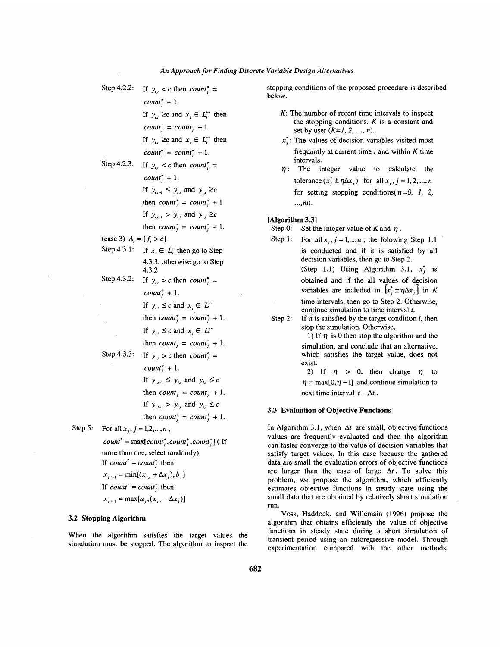|         | Step 4.2.2:                       | If $y_{ii} < c$ then count <sup>o</sup> =            |
|---------|-----------------------------------|------------------------------------------------------|
|         |                                   | $count_i^{\circ} + 1.$                               |
|         |                                   | If $y_{i,j} \geq c$ and $x_j \in L_i^{**}$ then      |
|         |                                   | $count_i = count_i + 1$ .                            |
|         |                                   | If $y_{i,j} \geq c$ and $x_j \in L_i^{+-}$ then      |
|         |                                   | $count_i^* = count_i^* + 1.$                         |
|         | Step 4.2.3:                       | If $y_{i,j} < c$ then count <sup>o</sup> =           |
|         |                                   | $count_i^o + 1$ .                                    |
|         |                                   | If $y_{i,j+1} \leq y_{i,j}$ and $y_{i,j} \geq c$     |
|         |                                   | then $count_i^* = count_i^* + 1$ .                   |
|         |                                   | If $y_{i,t-1} > y_{i,t}$ and $y_{i,t} \geq c$        |
|         |                                   | then $count_i = count_i + 1$ .                       |
|         | (case 3) $A_i = \{f_i > c\}$      |                                                      |
|         | Step $4.3.1$ :                    | If $x_i \in L_i^o$ then go to Step                   |
|         |                                   | 4.3.3, otherwise go to Step<br>4.3.2                 |
|         | Step 4.3.2:                       | If $y_{i,j} > c$ then count' <sub>j</sub> =          |
|         |                                   | $count_i^o + 1$ .                                    |
|         |                                   | If $y_{i,j} \leq c$ and $x_j \in L_i^{**}$           |
|         |                                   | then $count_i^* = count_i^* + 1$ .                   |
|         |                                   | If $y_{i,j} \leq c$ and $x_j \in L_i^{+1}$           |
|         |                                   | then $count_i = count_i + 1$ .                       |
|         | Step 4.3.3:                       | If $y_{i,t} > c$ then count <sup>o</sup> =           |
|         |                                   | $count_i^{\circ} + 1.$                               |
|         |                                   | If $y_{i,t-1} \leq y_{i,t}$ and $y_{i,t} \leq c$     |
|         |                                   | then $count_i = count_j + 1$ .                       |
|         |                                   | If $y_{i,t-1} > y_{i,t}$ and $y_{i,t} \leq c$        |
|         |                                   | then $count_i^* = count_i^* + 1$ .                   |
| Step 5: | For all $x_j$ , $j = 1, 2, , n$ , |                                                      |
|         |                                   | $count^* = max[count_i^o, count_j^*, count_j^+]$ (If |
|         |                                   | more than one, select randomly)                      |
|         | If count = count; then            |                                                      |
|         |                                   | $x_{j,i+1} = \min[(x_{j,i} + \Delta x_j), b_j]$      |
|         | If count = count; then            |                                                      |
|         |                                   | $x_{i,i+1} = \max[a_{i}, (x_{i,i} - \Delta x_{i})]$  |

## **3.2 Stopping Algorithm**

When the algorithm satisfies the target values the simulation must be stopped. The algorithm to inspect the

stopping conditions of the proposed procedure is described below.

- $K$ : The number of recent time intervals to inspect the stopping conditions. *K* is a constant and set by user *(K=l,* 2, ..., *n).*
- $x$ <sup> $\cdot$ </sup>: The values of decision variables visited most frequantly at current time *t* and within *K* time intervals.
- $\eta$ : The integer value to calculate the tolerance  $(x_i^* \pm \eta \Delta x_i)$  for all  $x_i$ ,  $j = 1, 2, ..., n$ for setting stopping conditions( $\eta = 0$ , 1, 2, . . ., *m).*

## **[Algorithm 3.31**

- Step 0: Set the integer value of  $K$  and  $\eta$ .
- Step 1: For all  $x_i$ ,  $j = 1,...,n$ , the folowing Step 1.1 is conducted and if it is satisfied by all decision variables, then go to Step 2. (Step 1.1) Using Algorithm 3.1,  $x_i$  is obtained and if the all values of decision variables are included in  $\left[x, \pm \eta \Delta x_i\right]$  in *K* time intervals, then go to Step 2. Otherwise, continue simulation to time interval *t.*
- Step 2: If it is satisfied by the target condition *i,* then stop the simulation. Otherwise,

1) If  $\eta$  is 0 then stop the algorithm and the simulation, and conclude that an alternative, which satisfies the target value, does not exist.

2) If  $\eta > 0$ , then change  $\eta$  to  $\eta = \max[0, \eta - 1]$  and continue simulation to next time interval  $t + \Delta t$ .

## **3.3 Evaluation of Objective Functions**

In Algorithm 3.1, when  $\Delta t$  are small, objective functions values are frequently evaluated and then the algorithm can faster converge to the value of decision variables that satisfy target values. In this case because the gathered data are small the evaluation errors of objective functions are larger than the case of large  $\Delta t$ . To solve this problem, we propose the algorithm, which efficiently estimates objective functions in steady state using the small data that are obtained by relatively short simulation run.

Voss, Haddock, and Willemain ( 1996) propose the algorithm that obtains efficiently the value of objective functions in steady state during a short simulation of transient period using an autoregressive model. Through experimentation compared with the other methods,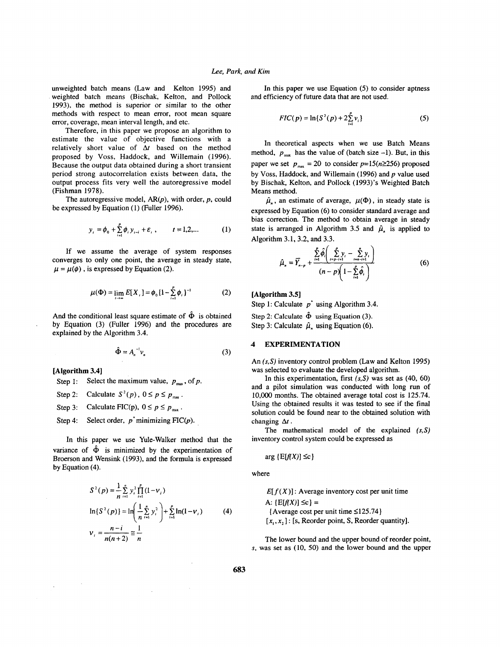unweighted batch means (Law and Kelton 1995) and weighted batch means (Bischak, Kelton, and Pollock 1993), the method is superior or similar to the other methods with respect to mean error, root mean square error, coverage, mean interval length, and etc.

Therefore, in this paper we propose an algorithm to estimate the value of objective functions with a relatively short value of  $\Delta t$  based on the method proposed by Voss, Haddock, and Willemain (1996). Because the output data obtained during a short transient period strong autocorrelation exists between data, the output process fits very well the autoregressive model (Fishman 1978).

The autoregressive model, *AR(p),* with order, p, could be expressed by Equation (1) (Fuller 1996).

$$
y_{i} = \phi_{0} + \sum_{i=1}^{p} \phi_{i} y_{i-i} + \varepsilon_{i}, \qquad t = 1, 2, ... \qquad (1)
$$

If we assume the average of system responses converges to only one point, the average in steady state,  $\mu = \mu(\phi)$ , is expressed by Equation (2).

$$
\mu(\Phi) = \lim_{i \to \infty} E[X_i] = \phi_0 \{1 - \sum_{i=1}^p \phi_i\}^{-1}
$$
 (2)

And the conditional least square estimate of  $\hat{\Phi}$  is obtained by Equation (3) (Fuller 1996) and the procedures are explained by the Algorithm 3.4.

$$
\hat{\Phi} = A_n^{-1} \nu_n \tag{3}
$$

**[Algorithm 3.41** 

,

Step 1: Step 2: Step 3: Step 4: Select the maximum value,  $p_{\text{max}}$ , of *p*.<br>Calculate  $S^2(p)$ ,  $0 \le p \le p_{\text{max}}$ . Calculate FIC(p),  $0 \le p \le p_{\text{max}}$ . Select order,  $p^*$  minimizing  $\text{FIC}(p)$ .

In this paper we use Yule-Walker method that the variance of  $\hat{\Phi}$  is minimized by the experimentation of Broerson and Wensink (1993), and the formula is expressed by Equation (4).

$$
S^{2}(p) = \frac{1}{n} \sum_{i=1}^{n} y_{i}^{2} \prod_{i=1}^{p} (1 - v_{i})
$$
  
\n
$$
\ln\{S^{2}(p)\} = \ln\left(\frac{1}{n} \sum_{i=1}^{n} y_{i}^{2}\right) + \sum_{i=1}^{p} \ln(1 - v_{i})
$$
 (4)  
\n
$$
v_{i} = \frac{n - i}{n(n + 2)} \approx \frac{1}{n}
$$

In this paper we use Equation (5) to consider aptness and efficiency of future data that are not used.

$$
FIC(p) = \ln\{S^2(p) + 2\sum_{i=1}^{p} v_i\}
$$
 (5)

In theoretical aspects when we use Batch Means method,  $p_{\text{max}}$  has the value of (batch size -1). But, in this paper we set  $p_{\text{max}} = 20$  to consider  $p=15(n\geq 256)$  proposed by Voss, Haddock, and Willemain (1996) and *p* value used by Bischak, Kelton, and Pollock (1993)'s Weighted Batch Means method.

 $\hat{\mu}$ , an estimate of average,  $\mu(\Phi)$ , in steady state is expressed by Equation (6) to consider standard average and bias correction. The method to obtain average in steady state is arranged in Algorithm 3.5 and  $\hat{\mu}_n$  is applied to Algorithm 3.1, 3.2, and 3.3.

$$
\hat{\mu}_n = \overline{Y}_{n-p} + \frac{\sum_{i=1}^{p} \hat{\phi}_i \left( \sum_{i=p+i+1}^{p} y_i - \sum_{i=n-i+1}^{n} y_i \right)}{(n-p) \left( 1 - \sum_{i=1}^{p} \hat{\phi}_i \right)}
$$
(6)

**[Algorithm 3.51** 

Step **1:** Calculate *p'* using Algorithm 3.4.

Step 2: Calculate  $\hat{\Phi}$  using Equation (3). Step 3: Calculate  $\hat{\mu}$ , using Equation (6).

# **4 EXPERIMENTATION**

An **(s,S)** inventory control problem (Law and Kelton 1995) was selected to evaluate the developed algorithm.

In this experimentation, first **(s,S)** was set as (40, 60) and a pilot simulation was conducted with long run of 10,000 months. The obtained average total cost is 125.74. Using the obtained results it was tested to see if the final solution could be found near to the obtained solution with changing  $\Delta t$ .

The mathematical model of the explained **(s,S)**  inventory control system could be expressed as

arg { $E[f(X)] \leq c$ }

where

 $E[f(X)]$ : Average inventory cost per unit time A:  $\{E[f(X)] \leq c\}$  =  $[x_1, x_2]$ : [s, Reorder point, S, Reorder quantity]. (Average cost per unit time 5125.74)

The lower bound and the upper bound of reorder point, **s,** was set as **(IO,** 50) and the lower bound and the upper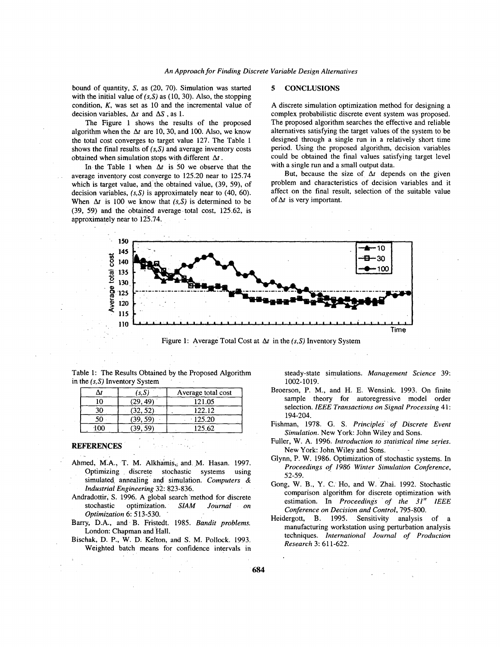bound of quantity, S, as (20, 70). Simulation was started with the initial value of **(s,S)** as (10, 30). Also, the stopping condition, *K,* was set as 10 and the incremental value of decision variables,  $\Delta s$  and  $\Delta S$ , as 1.

The Figure 1 shows the results of the proposed algorithm when the  $\Delta t$  are 10, 30, and 100. Also, we know the total cost converges to target value 127. The Table 1 shows the final results of  $(s, S)$  and average inventory costs obtained when simulation stops with different  $\Delta t$ .

In the Table 1 when  $\Delta t$  is 50 we observe that the average inventory cost converge to 125.20 near to 125.74 which is target value, and the obtained value, (39, 59), of decision variables,  $(s, S)$  is approximately near to  $(40, 60)$ . When  $\Delta t$  is 100 we know that  $(s, S)$  is determined to be (39, 59) and the obtained average total cost, 125.62, is approximately near to 125.74.

#### **5 CONCLUSIONS**

A discrete simulation optimization method for designing a complex probabilistic discrete event system was proposed. The proposed algorithm searches the effective and reliable alternatives satisfying the target values of the system to be designed through a single run in a relatively short time period. Using the proposed algorithm, decision variables could be obtained the final values satisfying target level with a single run and a small output data.

But, because the size of  $\Delta t$  depends on the given problem and characteristics of decision variables and it affect on the final result, selection of the suitable value of  $\Delta t$  is very important.



Figure 1: Average Total Cost at  $\Delta t$  in the (s, S) Inventory System

| Table 1: The Results Obtained by the Proposed Algorithm |  |  |
|---------------------------------------------------------|--|--|
| in the $(s, S)$ Inventory System                        |  |  |

| Broerson, P.              | Average total cost | 's.S     |     |
|---------------------------|--------------------|----------|-----|
| sample                    | 121.05             | (29, 49) |     |
| selection.                | 122.12             | (32, 52) | 30  |
| 194-204.                  | 125.20             | (39, 59) | 50  |
| Fishman, 197<br>Simulatio | 125.62             | (39, 59) | 100 |
|                           |                    |          |     |

- Ahmed, M.A., T. M. Alkhamis, and M. Hasan. 1997. Optimizing discrete stochastic systems using simulated annealing and simulation. *Computers* & *industrial Engineering* 32: 823-836.
- Andradottir, **S.** 1996. A global search method for discrete stochastic optimization. *SIAM Journal on Optimization* 6: 513-530.
- Barry, D.A., and B. Fristedt. 1985. *Bandit problems.*  London: Chapman and Hall.
- Bischak, D. P., W. D. Kelton, and **S.** M. Pollock. 1993. Weighted batch means for confidence intervals in

steady-state simulations. *Management Science* 39: 1002-1019.

- Broerson, P. M., and H. E. Wensink. 1993. On finite sample theory for autoregressive model order selection. *IEEE Transactions on Signal Processing* 4 1 :
- Fishman, 1978. G. **S.** *Principles of Discrete Event Simulation.* New York: John Wiley and Sons.
- **REFERENCES Fuller, W. A. 1996.** *Introduction to statistical time series. Integration of Statistical time series.* New York: John Wiley and Sons.
	- Glynn, P. W. 1986. Optimization of stochastic systems. In *Proceedings of I986 Winter Simulation Conference,*  52-59.
	- Gong, W. B., Y. C. Ho, and W. Zhai. 1992. Stochastic comparison algorithm for discrete optimization with estimation. In *Proceedings of the 31"' IEEE Conference on Decision and Control,* 795-800.
	- Heidergott, B. 1995. Sensitivity analysis of a manufacturing workstation using perturbation analysis techniques. *International Journal of Production Research 3:* 61 1-622.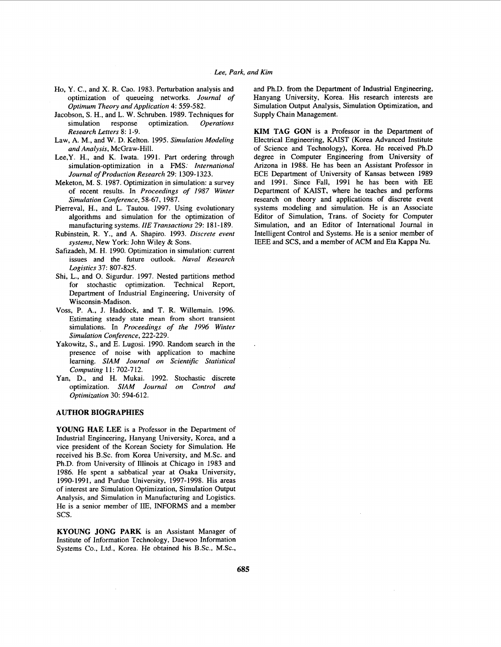- Ho, Y. C., and X. R. Cao. 1983. Perturbation analysis and optimization of queueing networks. *Journal of Optimum Theory and Application* 4: 559-582.
- Jacobson, **S.** H., and L. W. Schruben. 1989. Techniques for simulation response optimization. *Operations Research Letters* 8: 1-9.
- Law, A. M., and W. D. Kelton. 1995. *Simulation Modeling and Analysis,* McGraw-Hill.
- Lee,Y. H., and K. Iwata. 1991. Part ordering through simulation-optimization in a FMS: *International Journal of Production Research* 29: 1309-1323.
- Meketon, M. **S.** 1987. Optimization in simulation: a survey of recent results. In *Proceedings of* 1987 *Winter Simulation Conference,* 58-67, 1987.
- Pierreval, H., and L. Tautou. 1997. Using evolutionary algorithms and simulation for the optimization of manufacturing systems. *IIE Transactions* 29: 181-189.
- Rubinstein, R. Y., and A. Shapiro. 1993. *Discrete event systems,* New York: John Wiley & Sons.
- Safizadeh, M. H. 1990. Optimization in simulation: current issues and the future outlook. *Naval Research Logistics* 37: 807-825.
- Shi, L., and 0. Sigurdur. 1997. Nested partitions method for stochastic optimization. Technical Report, Department of Industrial Engineering, University of Wisconsin-Madison.
- Voss, P. A., J. Haddock, and T. R. Willemain. 1996. Estimating steady state mean from short transient simulations. In *Proceedings of the 1996 Winter Simulation Conference,* 222-229.
- Yakowitz, *S.,* and E. Lugosi. 1990. Random search in the presence of noise with application to machine learning. **SIAM** Journal on Scientific Statistical *Computing* **1 1** : 702-7 12.
- Yan, D., and H. Mukai. 1992. Stochastic discrete optimization. *SIAM Journal on Control and Optimization* 30: 594-612.

## **AUTHOR BIOGRAPHIES**

**YOUNG HAE LEE is** a Professor in the Department of Industrial Engineering, Hanyang University, Korea, and a vice president of the Korean Society for Simulation. He received his B.Sc. from Korea University, and M.Sc. and Ph.D. from University of Illinois at Chicago in 1983 and 1986. He spent a sabbatical year at Osaka University, 1990-1991, and Purdue University, 1997-1998. His areas of interest are Simulation Optimization, Simulation Output Analysis, and Simulation in Manufacturing and Logistics. He is a senior member of IIE, INFORMS and a member scs.

**KYOUNG JONG PARK** is an Assistant Manager of Institute of Information Technology, Daewoo Information Systems Co., Ltd., Korea. He obtained his B.Sc., M.Sc.,

and Ph.D. from the Department of Industrial Engineering, Hanyang University, Korea. His research interests are Simulation Output Analysis, Simulation Optimization, and Supply Chain Management.

**KIM TAG GON** is a Professor in the Department of Electrical Engineering, KAIST (Korea Advanced Institute of Science and Technology), Korea. He received Ph.D degree in Computer Engineering from University of Arizona in 1988. He has been an Assistant Professor in ECE Department of University of Kansas between 1989 and 1991. Since Fall, 1991 he has been with EE Department of KAIST, where he teaches and performs research on theory and applications of discrete event systems modeling and simulation. He is an Associate Editor of Simulation, Trans. of Society for Computer Simulation, and an Editor of International Journal in Intelligent Control and Systems. He is a senior member of IEEE and SCS, and a member of ACM and Eta Kappa Nu.